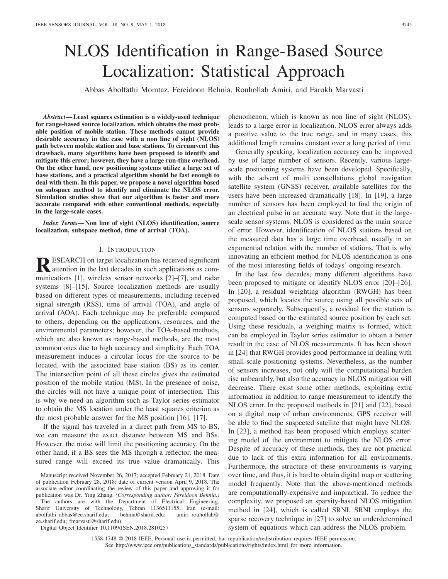# NLOS Identification in Range-Based Source Localization: Statistical Approach

Abbas Abolfathi Momtaz, Fereidoon Behnia, Rouhollah Amiri, and Farokh Marvasti

*Abstract***— Least squares estimation is a widely-used technique for range-based source localization, which obtains the most probable position of mobile station. These methods cannot provide desirable accuracy in the case with a non line of sight (NLOS) path between mobile station and base stations. To circumvent this drawback, many algorithms have been proposed to identify and mitigate this error; however, they have a large run-time overhead. On the other hand, new positioning systems utilize a large set of base stations, and a practical algorithm should be fast enough to deal with them. In this paper, we propose a novel algorithm based on subspace method to identify and eliminate the NLOS error. Simulation studies show that our algorithm is faster and more accurate compared with other conventional methods, especially in the large-scale cases.**

*Index Terms***— Non line of sight (NLOS) identification, source localization, subspace method, time of arrival (TOA).**

# I. INTRODUCTION

**RESEARCH** on target localization has received significant attention in the last decades in such applications as communications [1], wireless sensor networks [2]–[7], and radar systems [8]–[15]. Source localization methods are usually based on different types of measurements, including received signal strength (RSS), time of arrival (TOA), and angle of arrival (AOA). Each technique may be preferable compared to others, depending on the applications, resources, and the environmental parameters; however, the TOA-based methods, which are also known as range-based methods, are the most common ones due to high accuracy and simplicity. Each TOA measurement induces a circular locus for the source to be located, with the associated base station (BS) as its center. The intersection point of all these circles gives the estimated position of the mobile station (MS). In the presence of noise, the circles will not have a unique point of intersection. This is why we need an algorithm such as Taylor series estimator to obtain the MS location under the least squares criterion as the most probable answer for the MS position [16], [17].

If the signal has traveled in a direct path from MS to BS, we can measure the exact distance between MS and BSs. However, the noise will limit the positioning accuracy. On the other hand, if a BS sees the MS through a reflector, the measured range will exceed its true value dramatically. This

Manuscript received November 26, 2017; accepted February 21, 2018. Date of publication February 28, 2018; date of current version April 9, 2018. The associate editor coordinating the review of this paper and approving it for publication was Dr. Ying Zhang. *(Corresponding author: Fereidoon Behnia.)* The authors are with the Department of Electrical Engineering, Sharif University of Technology, Tehran 1136511155, Iran (e-mail: abolfathi\_abbas@ee.sharif.edu; behnia@sharif.edu; amiri\_rouhollah@ ee.sharif.edu; fmarvasti@sharif.edu).

Digital Object Identifier 10.1109/JSEN.2018.2810257

phenomenon, which is known as non line of sight (NLOS), leads to a large error in localization. NLOS error always adds a positive value to the true range, and in many cases, this additional length remains constant over a long period of time.

Generally speaking, localization accuracy can be improved by use of large number of sensors. Recently, various largescale positioning systems have been developed. Specifically, with the advent of multi constellations global navigation satellite system (GNSS) receiver, available satellites for the users have been increased dramatically [18]. In [19], a large number of sensors has been employed to find the origin of an electrical pulse in an accurate way. Note that in the largescale sensor systems, NLOS is considered as the main source of error. However, identification of NLOS stations based on the measured data has a large time overhead, usually in an exponential relation with the number of stations. That is why innovating an efficient method for NLOS identification is one of the most interesting fields of todays' ongoing research.

In the last few decades, many different algorithms have been proposed to mitigate or identify NLOS error [20]–[26]. In [20], a residual weighting algorithm (RWGH) has been proposed, which locates the source using all possible sets of sensors separately. Subsequently, a residual for the station is computed based on the estimated source position by each set. Using these residuals, a weighing matrix is formed, which can be employed in Taylor series estimator to obtain a better result in the case of NLOS measurements. It has been shown in [24] that RWGH provides good performance in dealing with small-scale positioning systems. Nevertheless, as the number of sensors increases, not only will the computational burden rise unbearably, but also the accuracy in NLOS mitigation will decrease. There exist some other methods, exploiting extra information in addition to range measurement to identify the NLOS error. In the proposed methods in [21] and [22], based on a digital map of urban environments, GPS receiver will be able to find the suspected satellite that might have NLOS. In [23], a method has been proposed which employs scattering model of the environment to mitigate the NLOS error. Despite of accuracy of these methods, they are not practical due to lack of this extra information for all environments. Furthermore, the structure of these environments is varying over time, and thus, it is hard to obtain digital map or scattering model frequently. Note that the above-mentioned methods are computationally-expensive and impractical. To reduce the complexity, we proposed an sparsity-based NLOS mitigation method in [24], which is called SRNI. SRNI employs the sparse recovery technique in [27] to solve an underdetermined system of equations which can address the NLOS problem.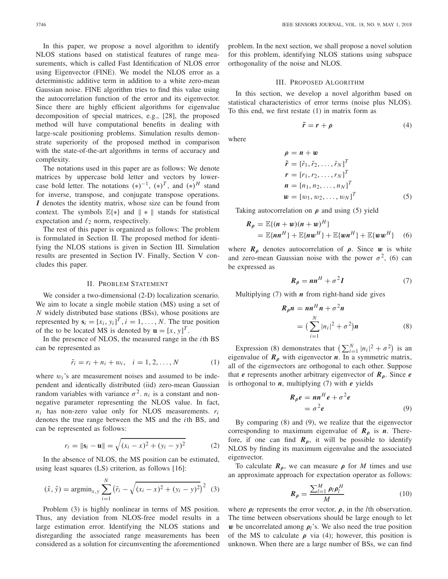In this paper, we propose a novel algorithm to identify NLOS stations based on statistical features of range measurements, which is called Fast Identification of NLOS error using Eigenvector (FINE). We model the NLOS error as a deterministic additive term in addition to a white zero-mean Gaussian noise. FINE algorithm tries to find this value using the autocorrelation function of the error and its eigenvector. Since there are highly efficient algorithms for eigenvalue decomposition of special matrices, e.g., [28], the proposed method will have computational benefits in dealing with large-scale positioning problems. Simulation results demonstrate superiority of the proposed method in comparison with the state-of-the-art algorithms in terms of accuracy and complexity.

The notations used in this paper are as follows: We denote matrices by uppercase bold letter and vectors by lowercase bold letter. The notations  $(*)^{-1}$ ,  $(*)^T$ , and  $(*)^H$  stand for inverse, transpose, and conjugate transpose operations. *I* denotes the identity matrix, whose size can be found from context. The symbols  $E\{*\}$  and  $\|\ast\|$  stands for statistical expectation and  $\ell_2$  norm, respectively.

The rest of this paper is organized as follows: The problem is formulated in Section II. The proposed method for identifying the NLOS stations is given in Section III. Simulation results are presented in Section IV. Finally, Section V concludes this paper.

#### II. PROBLEM STATEMENT

We consider a two-dimensional (2-D) localization scenario. We aim to locate a single mobile station (MS) using a set of *N* widely distributed base stations (BSs), whose positions are represented by  $\mathbf{s}_i = [x_i, y_i]^T$ ,  $i = 1, ..., N$ . The true position of the to be located MS is denoted by  $\mathbf{u} = [x, y]^T$ .

In the presence of NLOS, the measured range in the *i*th BS can be represented as

$$
\tilde{r}_i = r_i + n_i + w_i, \quad i = 1, 2, ..., N
$$
 (1)

where  $w_i$ 's are measurement noises and assumed to be independent and identically distributed (iid) zero-mean Gaussian random variables with variance  $\sigma^2$ .  $n_i$  is a constant and nonnegative parameter representing the NLOS value. In fact, *ni* has non-zero value only for NLOS measurements. *ri* denotes the true range between the MS and the *i*th BS, and can be represented as follows:

$$
r_i = \|\mathbf{s}_i - \mathbf{u}\| = \sqrt{(x_i - x)^2 + (y_i - y)^2}
$$
 (2)

In the absence of NLOS, the MS position can be estimated, using least squares (LS) criterion, as follows [16]:

$$
(\hat{x}, \hat{y}) = \operatorname{argmin}_{x, y} \sum_{i=1}^{N} (\tilde{r}_i - \sqrt{(x_i - x)^2 + (y_i - y)^2})^2
$$
 (3)

Problem (3) is highly nonlinear in terms of MS position. Thus, any deviation from NLOS-free model results in a large estimation error. Identifying the NLOS stations and disregarding the associated range measurements has been considered as a solution for circumventing the aforementioned problem. In the next section, we shall propose a novel solution for this problem, identifying NLOS stations using subspace orthogonality of the noise and NLOS.

#### III. PROPOSED ALGORITHM

In this section, we develop a novel algorithm based on statistical characteristics of error terms (noise plus NLOS). To this end, we first restate (1) in matrix form as

where

$$
\rho = n + w \n\tilde{r} = [\tilde{r}_1, \tilde{r}_2, ..., \tilde{r}_N]^T \nr = [r_1, r_2, ..., r_N]^T \nn = [n_1, n_2, ..., n_N]^T \nw = [w_1, w_2, ..., w_N]^T
$$
\n(5)

 $\tilde{r} = r + \rho$  (4)

Taking autocorrelation on *ρ* and using (5) yield

$$
R_{\rho} = \mathbb{E}\{(n+w)(n+w)^{H}\}\
$$
  
=  $\mathbb{E}\{nn^{H}\} + \mathbb{E}\{nw^{H}\} + \mathbb{E}\{wn^{H}\} + \mathbb{E}\{ww^{H}\}$  (6)

where  $R_\rho$  denotes autocorrelation of  $\rho$ . Since *w* is white and zero-mean Gaussian noise with the power  $\sigma^2$ , (6) can be expressed as

$$
R_{\rho} = n n^H + \sigma^2 I \tag{7}
$$

Multiplying (7) with *n* from right-hand side gives

$$
R_{\rho}n = nn^{H}n + \sigma^{2}n
$$
  
= 
$$
(\sum_{i=1}^{N} |n_{i}|^{2} + \sigma^{2})n
$$
 (8)

Expression (8) demonstrates that  $\left(\sum_{i=1}^{N} |n_i|^2 + \sigma^2\right)$  is an eigenvalue of  $\mathbf{R}_{\rho}$  with eigenvector  $\mathbf{n}$ . In a symmetric matrix, all of the eigenvectors are orthogonal to each other. Suppose that *e* represents another arbitrary eigenvector of *Rρ*. Since *e* is orthogonal to *n*, multiplying (7) with *e* yields

$$
R_{\rho}e = nn^{H}e + \sigma^{2}e
$$
  
=  $\sigma^{2}e$  (9)

By comparing (8) and (9), we realize that the eigenvector corresponding to maximum eigenvalue of  $R_\rho$  is *n*. Therefore, if one can find  $\mathbf{R}_{\rho}$ , it will be possible to identify NLOS by finding its maximum eigenvalue and the associated eigenvector.

To calculate  $\mathbf{R}_{\rho}$ , we can measure  $\rho$  for *M* times and use an approximate approach for expectation operator as follows:

$$
R_{\rho} = \frac{\sum_{l=1}^{M} \rho_l \rho_l^H}{M} \tag{10}
$$

where  $\rho_l$  represents the error vector,  $\rho$ , in the *l*th observation. The time between observations should be large enough to let *w* be uncorrelated among  $\rho_l$ 's. We also need the true position of the MS to calculate  $\rho$  via (4); however, this position is unknown. When there are a large number of BSs, we can find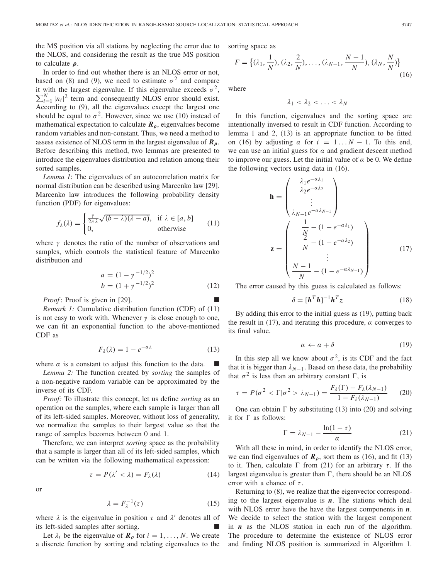the MS position via all stations by neglecting the error due to the NLOS, and considering the result as the true MS position to calculate *ρ*.

In order to find out whether there is an NLOS error or not, based on (8) and (9), we need to estimate  $\sigma^2$  and compare it with the largest eigenvalue. If this eigenvalue exceeds  $\sigma^2$ , it with the largest eigenvalue. If this eigenvalue exceeds  $\sigma^2$ ,<br> $\sum_{i=1}^{N} |n_i|^2$  term and consequently NLOS error should exist. According to (9), all the eigenvalues except the largest one should be equal to  $\sigma^2$ . However, since we use (10) instead of mathematical expectation to calculate  $R_\rho$ , eigenvalues become random variables and non-constant. Thus, we need a method to assess existence of NLOS term in the largest eigenvalue of *Rρ*. Before describing this method, two lemmas are presented to introduce the eigenvalues distribution and relation among their sorted samples.

*Lemma 1*: The eigenvalues of an autocorrelation matrix for normal distribution can be described using Marcenko law [29]. Marcenko law introduces the following probability density function (PDF) for eigenvalues:

$$
f_{\lambda}(\lambda) = \begin{cases} \frac{\gamma}{2\pi\lambda}\sqrt{(b-\lambda)(\lambda-a)}, & \text{if } \lambda \in [a,b] \\ 0, & \text{otherwise} \end{cases}
$$
 (11)

where  $\gamma$  denotes the ratio of the number of observations and samples, which controls the statistical feature of Marcenko distribution and

$$
a = (1 - \gamma^{-1/2})^2
$$
  
\n
$$
b = (1 + \gamma^{-1/2})^2
$$
\n(12)

*Proof*: Proof is given in [29].

*Remark 1:* Cumulative distribution function (CDF) of (11) is not easy to work with. Whenever  $\gamma$  is close enough to one, we can fit an exponential function to the above-mentioned CDF as

$$
F_{\lambda}(\lambda) = 1 - e^{-\alpha \lambda} \tag{13}
$$

where  $\alpha$  is a constant to adjust this function to the data.

*Lemma 2:* The function created by *sorting* the samples of a non-negative random variable can be approximated by the inverse of its CDF.

*Proof:* To illustrate this concept, let us define *sorting* as an operation on the samples, where each sample is larger than all of its left-sided samples. Moreover, without loss of generality, we normalize the samples to their largest value so that the range of samples becomes between 0 and 1.

Therefore, we can interpret *sorting* space as the probability that a sample is larger than all of its left-sided samples, which can be written via the following mathematical expression:

$$
\tau = P(\lambda' < \lambda) = F_{\lambda}(\lambda) \tag{14}
$$

or

$$
\lambda = F_{\lambda}^{-1}(\tau) \tag{15}
$$

where  $\lambda$  is the eigenvalue in position  $\tau$  and  $\lambda'$  denotes all of its left-sided samples after sorting.

Let  $\lambda_i$  be the eigenvalue of  $\mathbf{R}_{\rho}$  for  $i = 1, \ldots, N$ . We create a discrete function by sorting and relating eigenvalues to the sorting space as

$$
F = \{ (\lambda_1, \frac{1}{N}), (\lambda_2, \frac{2}{N}), \dots, (\lambda_{N-1}, \frac{N-1}{N}), (\lambda_N, \frac{N}{N}) \}
$$
(16)

where

$$
\lambda_1 < \lambda_2 < \ldots < \lambda_N
$$

In this function, eigenvalues and the sorting space are intentionally inversed to result in CDF function. According to lemma 1 and 2, (13) is an appropriate function to be fitted on (16) by adjusting  $\alpha$  for  $i = 1...N - 1$ . To this end, we can use an initial guess for  $\alpha$  and gradient descent method to improve our guess. Let the initial value of  $\alpha$  be 0. We define the following vectors using data in (16).

$$
\mathbf{h} = \begin{pmatrix} \lambda_1 e^{-\alpha \lambda_1} \\ \lambda_2 e^{-\alpha \lambda_2} \\ \vdots \\ \lambda_{N-1} e^{-\alpha \lambda_{N-1}} \end{pmatrix}
$$

$$
\mathbf{z} = \begin{pmatrix} \frac{1}{N} - (1 - e^{-\alpha \lambda_1}) \\ \frac{2}{N} - (1 - e^{-\alpha \lambda_2}) \\ \vdots \\ \frac{N-1}{N} - (1 - e^{-\alpha \lambda_{N-1}}) \end{pmatrix}
$$
(17)

The error caused by this guess is calculated as follows:

$$
\delta = [\boldsymbol{h}^T \boldsymbol{h}]^{-1} \boldsymbol{h}^T z \tag{18}
$$

By adding this error to the initial guess as (19), putting back the result in (17), and iterating this procedure,  $\alpha$  converges to its final value.

$$
a \leftarrow a + \delta \tag{19}
$$

In this step all we know about  $\sigma^2$ , is its CDF and the fact that it is bigger than  $\lambda_{N-1}$ . Based on these data, the probability that  $\sigma^2$  is less than an arbitrary constant  $\Gamma$ , is

$$
\tau = P(\sigma^2 < \Gamma | \sigma^2 > \lambda_{N-1}) = \frac{F_\lambda(\Gamma) - F_\lambda(\lambda_{N-1})}{1 - F_\lambda(\lambda_{N-1})} \tag{20}
$$

One can obtain  $\Gamma$  by substituting (13) into (20) and solving it for  $\Gamma$  as follows:

$$
\Gamma = \lambda_{N-1} - \frac{\ln(1-\tau)}{\alpha} \tag{21}
$$

With all these in mind, in order to identify the NLOS error, we can find eigenvalues of  $\mathbf{R}_{\rho}$ , sort them as (16), and fit (13) to it. Then, calculate  $\Gamma$  from (21) for an arbitrary  $\tau$ . If the largest eigenvalue is greater than  $\Gamma$ , there should be an NLOS error with a chance of  $\tau$ .

Returning to (8), we realize that the eigenvector corresponding to the largest eigenvalue is *n*. The stations which deal with NLOS error have the have the largest components in *n*. We decide to select the station with the largest component in *n* as the NLOS station in each run of the algorithm. The procedure to determine the existence of NLOS error and finding NLOS position is summarized in Algorithm 1.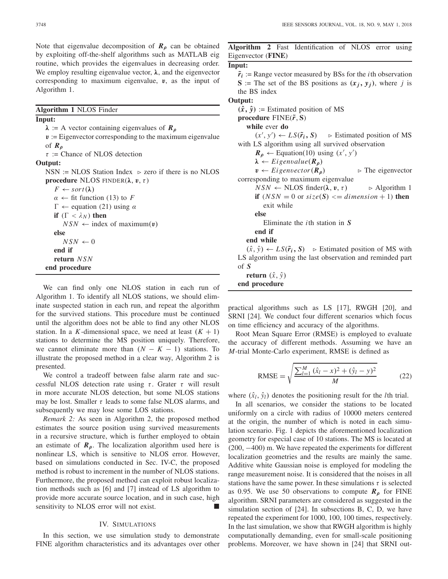Note that eigenvalue decomposition of  $\mathbf{R}_{\rho}$  can be obtained by exploiting off-the-shelf algorithms such as MATLAB eig routine, which provides the eigenvalues in decreasing order. We employ resulting eigenvalue vector, *λ*, and the eigenvector corresponding to maximum eigenvalue, *v*, as the input of Algorithm 1.

**Algorithm 1** NLOS Finder

**Input:** *λ* := A vector containing eigenvalues of *R<sup>ρ</sup>*  $v :=$  Eigenvector corresponding to the maximum eigenvalue of *R<sup>ρ</sup>*  $\tau$  := Chance of NLOS detection **Output:** NSN := NLOS Station Index  $\triangleright$  zero if there is no NLOS **procedure** NLOS FINDER(*λ*, *v*, τ )  $F \leftarrow sort(\lambda)$  $\alpha \leftarrow$  fit function (13) to *F*  $\Gamma \leftarrow$  equation (21) using  $\alpha$ **if**  $(\Gamma < \lambda_N)$  **then**  $NSN \leftarrow$  index of maximum(*v*) **else**  $NSN \leftarrow 0$ **end if return** *NSN* **end procedure**

We can find only one NLOS station in each run of Algorithm 1. To identify all NLOS stations, we should eliminate suspected station in each run, and repeat the algorithm for the survived stations. This procedure must be continued until the algorithm does not be able to find any other NLOS station. In a *K*-dimensional space, we need at least  $(K + 1)$ stations to determine the MS position uniquely. Therefore, we cannot eliminate more than  $(N - K - 1)$  stations. To illustrate the proposed method in a clear way, Algorithm 2 is presented.

We control a tradeoff between false alarm rate and successful NLOS detection rate using  $\tau$ . Grater  $\tau$  will result in more accurate NLOS detection, but some NLOS stations may be lost. Smaller  $\tau$  leads to some false NLOS alarms, and subsequently we may lose some LOS stations.

*Remark 2:* As seen in Algorithm 2, the proposed method estimates the source position using survived measurements in a recursive structure, which is further employed to obtain an estimate of *Rρ*. The localization algorithm used here is nonlinear LS, which is sensitive to NLOS error. However, based on simulations conducted in Sec. IV-C, the proposed method is robust to increment in the number of NLOS stations. Furthermore, the proposed method can exploit robust localization methods such as [6] and [7] instead of LS algorithm to provide more accurate source location, and in such case, high sensitivity to NLOS error will not exist.

## IV. SIMULATIONS

In this section, we use simulation study to demonstrate FINE algorithm characteristics and its advantages over other **Algorithm 2** Fast Identification of NLOS error using Eigenvector (**FINE**)

# **Input:**

 $\tilde{r}_i$  := Range vector measured by BSs for the *i*th observation **S** := The set of the BS positions as  $(x_j, y_j)$ , where *j* is the BS index

## **Output:**

- $(\hat{x}, \hat{y})$  := Estimated position of MS
- **procedure**  $FINE(\tilde{r}, S)$

**while** ever **do**

(*x* , *y* ) ← *LS*(*r***˜***i, S*) Estimated position of MS with LS algorithm using all survived observation

 $R_\rho \leftarrow$  Equation(10) using  $(x', y')$ 

 $\lambda \leftarrow Eigenvalue(R_{\rho})$ 

 $v \leftarrow Eigenvector(\mathbf{R}_{\rho})$   $\triangleright$  The eigenvector corresponding to maximum eigenvalue

 $NSN \leftarrow \text{NLOS finder}(\lambda, v, \tau)$   $\triangleright$  Algorithm 1 **if**  $(NSN = 0$  or  $size(S) \leq dimension + 1)$  **then** exit while **else** Eliminate the *i*th station in *S* **end if end while**  $(\hat{x}, \hat{y}) \leftarrow LS(\tilde{r}_i, S)$   $\triangleright$  Estimated position of MS with LS algorithm using the last observation and reminded part

of *S* **return**  $(\hat{x}, \hat{y})$ **end procedure**

practical algorithms such as LS [17], RWGH [20], and SRNI [24]. We conduct four different scenarios which focus on time efficiency and accuracy of the algorithms.

Root Mean Square Error (RMSE) is employed to evaluate the accuracy of different methods. Assuming we have an *M*-trial Monte-Carlo experiment, RMSE is defined as

RMSE = 
$$
\sqrt{\frac{\sum_{l=1}^{M} (\hat{x}_l - x)^2 + (\hat{y}_l - y)^2}{M}}
$$
 (22)

where  $(\hat{x}_l, \hat{y}_l)$  denotes the positioning result for the *l*th trial.

In all scenarios, we consider the stations to be located uniformly on a circle with radius of 10000 meters centered at the origin, the number of which is noted in each simulation scenario. Fig. 1 depicts the aforementioned localization geometry for especial case of 10 stations. The MS is located at (200, −400) m. We have repeated the experiments for different localization geometries and the results are mainly the same. Additive white Gaussian noise is employed for modeling the range measurement noise. It is considered that the noises in all stations have the same power. In these simulations  $\tau$  is selected as 0.95. We use 50 observations to compute *R<sup>ρ</sup>* for FINE algorithm. SRNI parameters are considered as suggested in the simulation section of [24]. In subsections B, C, D, we have repeated the experiment for 1000, 100, 100 times, respectively. In the last simulation, we show that RWGH algorithm is highly computationally demanding, even for small-scale positioning problems. Moreover, we have shown in [24] that SRNI out-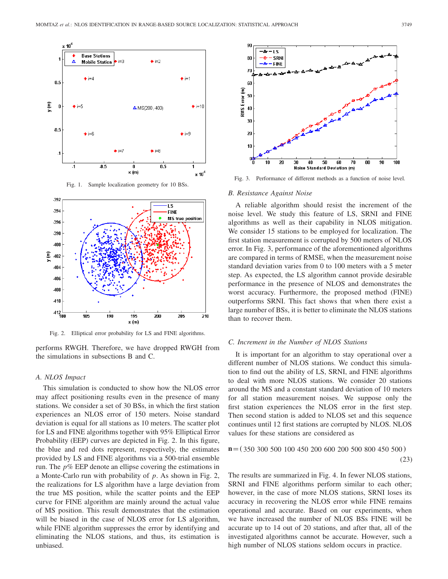

Fig. 1. Sample localization geometry for 10 BSs.



Fig. 2. Elliptical error probability for LS and FINE algorithms.

performs RWGH. Therefore, we have dropped RWGH from the simulations in subsections B and C.

## *A. NLOS Impact*

This simulation is conducted to show how the NLOS error may affect positioning results even in the presence of many stations. We consider a set of 30 BSs, in which the first station experiences an NLOS error of 150 meters. Noise standard deviation is equal for all stations as 10 meters. The scatter plot for LS and FINE algorithms together with 95% Elliptical Error Probability (EEP) curves are depicted in Fig. 2. In this figure, the blue and red dots represent, respectively, the estimates provided by LS and FINE algorithms via a 500-trial ensemble run. The *p*% EEP denote an ellipse covering the estimations in a Monte-Carlo run with probability of *p*. As shown in Fig. 2, the realizations for LS algorithm have a large deviation from the true MS position, while the scatter points and the EEP curve for FINE algorithm are mainly around the actual value of MS position. This result demonstrates that the estimation will be biased in the case of NLOS error for LS algorithm, while FINE algorithm suppresses the error by identifying and eliminating the NLOS stations, and thus, its estimation is unbiased.



Fig. 3. Performance of different methods as a function of noise level.

## *B. Resistance Against Noise*

A reliable algorithm should resist the increment of the noise level. We study this feature of LS, SRNI and FINE algorithms as well as their capability in NLOS mitigation. We consider 15 stations to be employed for localization. The first station measurement is corrupted by 500 meters of NLOS error. In Fig. 3, performance of the aforementioned algorithms are compared in terms of RMSE, when the measurement noise standard deviation varies from 0 to 100 meters with a 5 meter step. As expected, the LS algorithm cannot provide desirable performance in the presence of NLOS and demonstrates the worst accuracy. Furthermore, the proposed method (FINE) outperforms SRNI. This fact shows that when there exist a large number of BSs, it is better to eliminate the NLOS stations than to recover them.

#### *C. Increment in the Number of NLOS Stations*

It is important for an algorithm to stay operational over a different number of NLOS stations. We conduct this simulation to find out the ability of LS, SRNI, and FINE algorithms to deal with more NLOS stations. We consider 20 stations around the MS and a constant standard deviation of 10 meters for all station measurement noises. We suppose only the first station experiences the NLOS error in the first step. Then second station is added to NLOS set and this sequence continues until 12 first stations are corrupted by NLOS. NLOS values for these stations are considered as

$$
\mathbf{n} = (350\ 300\ 500\ 100\ 450\ 200\ 600\ 200\ 500\ 800\ 450\ 500)
$$
\n(23)

The results are summarized in Fig. 4. In fewer NLOS stations, SRNI and FINE algorithms perform similar to each other; however, in the case of more NLOS stations, SRNI loses its accuracy in recovering the NLOS error while FINE remains operational and accurate. Based on our experiments, when we have increased the number of NLOS BSs FINE will be accurate up to 14 out of 20 stations, and after that, all of the investigated algorithms cannot be accurate. However, such a high number of NLOS stations seldom occurs in practice.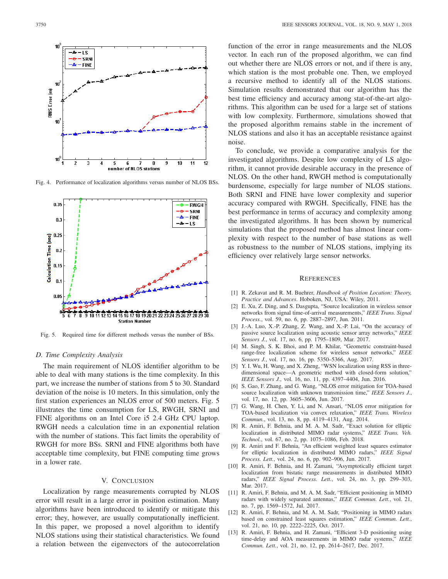

Fig. 4. Performance of localization algorithms versus number of NLOS BSs.



Fig. 5. Required time for different methods versus the number of BSs.

#### *D. Time Complexity Analysis*

The main requirement of NLOS identifier algorithm to be able to deal with many stations is the time complexity. In this part, we increase the number of stations from 5 to 30. Standard deviation of the noise is 10 meters. In this simulation, only the first station experiences an NLOS error of 500 meters. Fig. 5 illustrates the time consumption for LS, RWGH, SRNI and FINE algorithms on an Intel Core i5 2.4 GHz CPU laptop. RWGH needs a calculation time in an exponential relation with the number of stations. This fact limits the operability of RWGH for more BSs. SRNI and FINE algorithms both have acceptable time complexity, but FINE computing time grows in a lower rate.

#### V. CONCLUSION

Localization by range measurements corrupted by NLOS error will result in a large error in position estimation. Many algorithms have been introduced to identify or mitigate this error; they, however, are usually computationally inefficient. In this paper, we proposed a novel algorithm to identify NLOS stations using their statistical characteristics. We found a relation between the eigenvectors of the autocorrelation

function of the error in range measurements and the NLOS vector. In each run of the proposed algorithm, we can find out whether there are NLOS errors or not, and if there is any, which station is the most probable one. Then, we employed a recursive method to identify all of the NLOS stations. Simulation results demonstrated that our algorithm has the best time efficiency and accuracy among stat-of-the-art algorithms. This algorithm can be used for a large set of stations with low complexity. Furthermore, simulations showed that the proposed algorithm remains stable in the increment of NLOS stations and also it has an acceptable resistance against noise.

To conclude, we provide a comparative analysis for the investigated algorithms. Despite low complexity of LS algorithm, it cannot provide desirable accuracy in the presence of NLOS. On the other hand, RWGH method is computationally burdensome, especially for large number of NLOS stations. Both SRNI and FINE have lower complexity and superior accuracy compared with RWGH. Specifically, FINE has the best performance in terms of accuracy and complexity among the investigated algorithms. It has been shown by numerical simulations that the proposed method has almost linear complexity with respect to the number of base stations as well as robustness to the number of NLOS stations, implying its efficiency over relatively large sensor networks.

#### **REFERENCES**

- [1] R. Zekavat and R. M. Buehrer, *Handbook of Position Location: Theory, Practice and Advances*. Hoboken, NJ, USA: Wiley, 2011.
- [2] E. Xu, Z. Ding, and S. Dasgupta, "Source localization in wireless sensor networks from signal time-of-arrival measurements," *IEEE Trans. Signal Process.*, vol. 59, no. 6, pp. 2887–2897, Jun. 2011.
- [3] J.-A. Luo, X.-P. Zhang, Z. Wang, and X.-P. Lai, "On the accuracy of passive source localization using acoustic sensor array networks," *IEEE Sensors J.*, vol. 17, no. 6, pp. 1795–1809, Mar. 2017.
- [4] M. Singh, S. K. Bhoi, and P. M. Khilar, "Geometric constraint-based range-free localization scheme for wireless sensor networks," *IEEE Sensors J.*, vol. 17, no. 16, pp. 5350–5366, Aug. 2017.
- [5] Y. I. Wu, H. Wang, and X. Zheng, "WSN localization using RSS in threedimensional space—A geometric method with closed-form solution," *IEEE Sensors J.*, vol. 16, no. 11, pp. 4397–4404, Jun. 2016.
- [6] S. Gao, F. Zhang, and G. Wang, "NLOS error mitigation for TOA-based source localization with unknown transmission time," *IEEE Sensors J.*, vol. 17, no. 12, pp. 3605–3606, Jun. 2017.
- [7] G. Wang, H. Chen, Y. Li, and N. Ansari, "NLOS error mitigation for TOA-based localization via convex relaxation," *IEEE Trans. Wireless Commun.*, vol. 13, no. 8, pp. 4119–4131, Aug. 2014.
- [8] R. Amiri, F. Behnia, and M. A. M. Sadr, "Exact solution for elliptic localization in distributed MIMO radar systems," *IEEE Trans. Veh. Technol.*, vol. 67, no. 2, pp. 1075–1086, Feb. 2018.
- [9] R. Amiri and F. Behnia, "An efficient weighted least squares estimator for elliptic localization in distributed MIMO radars," *IEEE Signal Process. Lett.*, vol. 24, no. 6, pp. 902–906, Jun. 2017.
- [10] R. Amiri, F. Behnia, and H. Zamani, "Asymptotically efficient target localization from bistatic range measurements in distributed MIMO radars," *IEEE Signal Process. Lett.*, vol. 24, no. 3, pp. 299–303, Mar. 2017.
- [11] R. Amiri, F. Behnia, and M. A. M. Sadr, "Efficient positioning in MIMO radars with widely separated antennas," *IEEE Commun. Lett.*, vol. 21, no. 7, pp. 1569–1572, Jul. 2017.
- [12] R. Amiri, F. Behnia, and M. A. M. Sadr, "Positioning in MIMO radars based on constrained least squares estimation," *IEEE Commun. Lett.*, vol. 21, no. 10, pp. 2222–2225, Oct. 2017.
- [13] R. Amiri, F. Behnia, and H. Zamani, "Efficient 3-D positioning using time-delay and AOA measurements in MIMO radar systems," *IEEE Commun. Lett.*, vol. 21, no. 12, pp. 2614–2617, Dec. 2017.